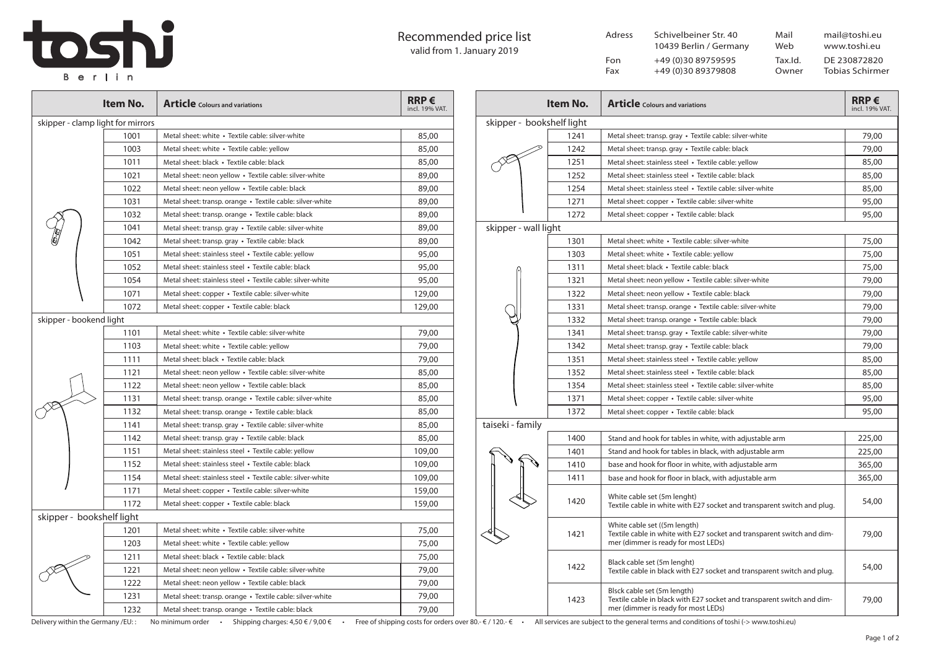## Recommended price list valid from 1. January 2019

| $\overline{\phantom{a}}$ | Recommended price list<br>valid from 1. January 2019 | Adress     | Schivelbeiner Str. 40<br>10439 Berlin / Germany | Mail<br>Web      | mail@toshi.eu<br>www.toshi.eu   |
|--------------------------|------------------------------------------------------|------------|-------------------------------------------------|------------------|---------------------------------|
| Berlin                   |                                                      | Fon<br>Fax | +49 (0)30 89759595<br>+49 (0)30 89379808        | Tax.Id.<br>Owner | DE 230872820<br>Tobias Schirmer |

|                                   | Item No. | <b>Article</b> Colours and variations                      | $RRP \in$<br>incl. 19% VAT. |  |  |  |
|-----------------------------------|----------|------------------------------------------------------------|-----------------------------|--|--|--|
| skipper - clamp light for mirrors |          |                                                            |                             |  |  |  |
|                                   | 1001     | Metal sheet: white • Textile cable: silver-white           | 85,00                       |  |  |  |
|                                   | 1003     | Metal sheet: white · Textile cable: yellow                 | 85,00                       |  |  |  |
|                                   | 1011     | Metal sheet: black • Textile cable: black                  | 85,00                       |  |  |  |
|                                   | 1021     | Metal sheet: neon yellow • Textile cable: silver-white     | 89,00                       |  |  |  |
|                                   | 1022     | Metal sheet: neon yellow • Textile cable: black            | 89,00                       |  |  |  |
|                                   | 1031     | Metal sheet: transp. orange • Textile cable: silver-white  | 89,00                       |  |  |  |
|                                   | 1032     | Metal sheet: transp. orange • Textile cable: black         | 89,00                       |  |  |  |
|                                   | 1041     | Metal sheet: transp. gray • Textile cable: silver-white    | 89,00                       |  |  |  |
|                                   | 1042     | Metal sheet: transp. gray • Textile cable: black           | 89,00                       |  |  |  |
|                                   | 1051     | Metal sheet: stainless steel • Textile cable: yellow       | 95,00                       |  |  |  |
|                                   | 1052     | Metal sheet: stainless steel • Textile cable: black        | 95,00                       |  |  |  |
|                                   | 1054     | Metal sheet: stainless steel • Textile cable: silver-white | 95,00                       |  |  |  |
|                                   | 1071     | Metal sheet: copper • Textile cable: silver-white          | 129,00                      |  |  |  |
|                                   | 1072     | Metal sheet: copper • Textile cable: black                 | 129,00                      |  |  |  |
| skipper - bookend light           |          |                                                            |                             |  |  |  |
|                                   | 1101     | Metal sheet: white • Textile cable: silver-white           | 79,00                       |  |  |  |
|                                   | 1103     | Metal sheet: white • Textile cable: yellow                 | 79,00                       |  |  |  |
|                                   | 1111     | Metal sheet: black • Textile cable: black                  | 79,00                       |  |  |  |
|                                   | 1121     | Metal sheet: neon yellow • Textile cable: silver-white     | 85,00                       |  |  |  |
|                                   | 1122     | Metal sheet: neon yellow • Textile cable: black            | 85,00                       |  |  |  |
|                                   | 1131     | Metal sheet: transp. orange • Textile cable: silver-white  | 85,00                       |  |  |  |
|                                   | 1132     | Metal sheet: transp. orange • Textile cable: black         | 85,00                       |  |  |  |
|                                   | 1141     | Metal sheet: transp. gray • Textile cable: silver-white    | 85,00                       |  |  |  |
|                                   | 1142     | Metal sheet: transp. gray • Textile cable: black           | 85,00                       |  |  |  |
|                                   | 1151     | Metal sheet: stainless steel • Textile cable: yellow       | 109,00                      |  |  |  |
|                                   | 1152     | Metal sheet: stainless steel • Textile cable: black        | 109,00                      |  |  |  |
|                                   | 1154     | Metal sheet: stainless steel • Textile cable: silver-white | 109,00                      |  |  |  |
|                                   | 1171     | Metal sheet: copper • Textile cable: silver-white          | 159,00                      |  |  |  |
|                                   | 1172     | Metal sheet: copper • Textile cable: black                 | 159,00                      |  |  |  |
| skipper - bookshelf light         |          |                                                            |                             |  |  |  |
|                                   | 1201     | Metal sheet: white · Textile cable: silver-white           | 75,00                       |  |  |  |
|                                   | 1203     | Metal sheet: white • Textile cable: yellow                 | 75,00                       |  |  |  |
|                                   | 1211     | Metal sheet: black • Textile cable: black                  | 75,00                       |  |  |  |
|                                   | 1221     | Metal sheet: neon yellow • Textile cable: silver-white     | 79,00                       |  |  |  |
|                                   | 1222     | Metal sheet: neon yellow • Textile cable: black            | 79,00                       |  |  |  |
|                                   | 1231     | Metal sheet: transp. orange • Textile cable: silver-white  | 79,00                       |  |  |  |
|                                   | 1232     | Metal sheet: transp. orange • Textile cable: black         | 79,00                       |  |  |  |

|                                                                                                                                           | Item No. | <b>Article</b> Colours and variations                                                                                                         | $RRP \in$<br>incl. 19% VAT. |  |  |  |
|-------------------------------------------------------------------------------------------------------------------------------------------|----------|-----------------------------------------------------------------------------------------------------------------------------------------------|-----------------------------|--|--|--|
| skipper - bookshelf light                                                                                                                 |          |                                                                                                                                               |                             |  |  |  |
|                                                                                                                                           | 1241     | Metal sheet: transp. gray · Textile cable: silver-white                                                                                       | 79,00                       |  |  |  |
|                                                                                                                                           | 1242     | Metal sheet: transp. gray · Textile cable: black                                                                                              | 79,00                       |  |  |  |
|                                                                                                                                           | 1251     | Metal sheet: stainless steel • Textile cable: yellow                                                                                          | 85,00                       |  |  |  |
|                                                                                                                                           | 1252     | Metal sheet: stainless steel • Textile cable: black                                                                                           | 85,00                       |  |  |  |
|                                                                                                                                           | 1254     | Metal sheet: stainless steel • Textile cable: silver-white                                                                                    | 85,00                       |  |  |  |
|                                                                                                                                           | 1271     | Metal sheet: copper • Textile cable: silver-white                                                                                             | 95,00                       |  |  |  |
|                                                                                                                                           | 1272     | Metal sheet: copper • Textile cable: black                                                                                                    | 95,00                       |  |  |  |
| skipper - wall light                                                                                                                      |          |                                                                                                                                               |                             |  |  |  |
|                                                                                                                                           | 1301     | Metal sheet: white • Textile cable: silver-white                                                                                              | 75,00                       |  |  |  |
|                                                                                                                                           | 1303     | Metal sheet: white • Textile cable: yellow                                                                                                    | 75,00                       |  |  |  |
|                                                                                                                                           | 1311     | Metal sheet: black • Textile cable: black                                                                                                     | 75,00                       |  |  |  |
|                                                                                                                                           | 1321     | Metal sheet: neon yellow · Textile cable: silver-white                                                                                        | 79,00                       |  |  |  |
|                                                                                                                                           | 1322     | Metal sheet: neon yellow · Textile cable: black                                                                                               | 79,00                       |  |  |  |
|                                                                                                                                           | 1331     | Metal sheet: transp. orange · Textile cable: silver-white                                                                                     | 79,00                       |  |  |  |
|                                                                                                                                           | 1332     | Metal sheet: transp. orange • Textile cable: black                                                                                            | 79,00                       |  |  |  |
|                                                                                                                                           | 1341     | Metal sheet: transp. gray · Textile cable: silver-white                                                                                       | 79,00                       |  |  |  |
|                                                                                                                                           | 1342     | Metal sheet: transp. gray • Textile cable: black                                                                                              | 79,00                       |  |  |  |
|                                                                                                                                           | 1351     | Metal sheet: stainless steel • Textile cable: yellow                                                                                          | 85,00                       |  |  |  |
|                                                                                                                                           | 1352     | Metal sheet: stainless steel • Textile cable: black                                                                                           | 85,00                       |  |  |  |
|                                                                                                                                           | 1354     | Metal sheet: stainless steel • Textile cable: silver-white                                                                                    | 85,00                       |  |  |  |
|                                                                                                                                           | 1371     | Metal sheet: copper • Textile cable: silver-white                                                                                             | 95,00                       |  |  |  |
|                                                                                                                                           | 1372     | Metal sheet: copper • Textile cable: black                                                                                                    | 95,00                       |  |  |  |
| taiseki - family                                                                                                                          |          |                                                                                                                                               |                             |  |  |  |
|                                                                                                                                           | 1400     | Stand and hook for tables in white, with adjustable arm                                                                                       | 225,00                      |  |  |  |
|                                                                                                                                           | 1401     | Stand and hook for tables in black, with adjustable arm                                                                                       | 225,00                      |  |  |  |
|                                                                                                                                           | 1410     | base and hook for floor in white, with adjustable arm                                                                                         | 365,00                      |  |  |  |
|                                                                                                                                           | 1411     | base and hook for floor in black, with adjustable arm                                                                                         | 365,00                      |  |  |  |
|                                                                                                                                           | 1420     | White cable set (5m lenght)<br>Textile cable in white with E27 socket and transparent switch and plug.                                        | 54,00                       |  |  |  |
|                                                                                                                                           | 1421     | White cable set ((5m length)<br>Textile cable in white with E27 socket and transparent switch and dim-<br>mer (dimmer is ready for most LEDs) | 79,00                       |  |  |  |
|                                                                                                                                           | 1422     | Black cable set (5m lenght)<br>Textile cable in black with E27 socket and transparent switch and plug.                                        | 54,00                       |  |  |  |
|                                                                                                                                           | 1423     | Blsck cable set (5m length)<br>Textile cable in black with E27 socket and transparent switch and dim-<br>mer (dimmer is ready for most LEDs)  | 79,00                       |  |  |  |
| All convices are subject to the general terms and conditions of toshi ( $\rightarrow$ unuu toshi ou)<br>$\mathcal{L}$ / 120 $\mathcal{L}$ |          |                                                                                                                                               |                             |  |  |  |

Delivery within the Germany /EU:: No minimum order · Shipping charges: 4,50 € / 9,00 € · Free of shipping costs for orders over 80. - € / 120. - € · All services are subject to the general terms and conditions of toshi (-